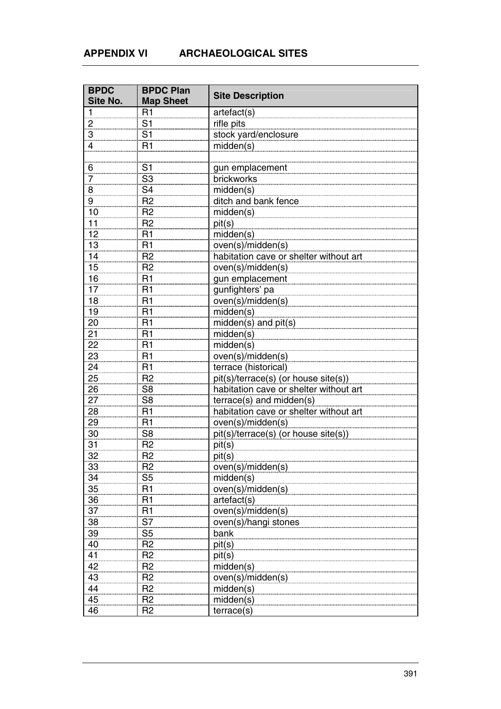| <b>BPDC</b>     | <b>BPDC Plan</b> | <b>Site Description</b>                |
|-----------------|------------------|----------------------------------------|
| Site No.        | <b>Map Sheet</b> |                                        |
| 1               | R1               | artefact(s)                            |
| $\overline{c}$  | S <sub>1</sub>   | rifle pits                             |
| 3               | S <sub>1</sub>   | stock yard/enclosure                   |
| 4               | R1               | midden(s)                              |
|                 |                  |                                        |
| 6               | S <sub>1</sub>   | gun emplacement                        |
| $\overline{7}$  | S <sub>3</sub>   | brickworks                             |
| 8               | S <sub>4</sub>   | midden(s)                              |
| $\frac{9}{4}$   | R <sub>2</sub>   | ditch and bank fence                   |
| 10              | R <sub>2</sub>   | midden(s)                              |
| 11              | R <sub>2</sub>   | pit(s)                                 |
| 12              | R1               | midden(s)                              |
| 13              | R1               | oven(s)/midden(s)                      |
| 14              | R <sub>2</sub>   | habitation cave or shelter without art |
| 15              | R <sub>2</sub>   | oven(s)/midden(s)                      |
| 16              | R <sub>1</sub>   | gun emplacement                        |
| 17              | R1               | gunfighters' pa                        |
| 18              | R1               | oven(s)/midden(s)                      |
| 19              | R <sub>1</sub>   |                                        |
| 20              | R1               | midden(s)                              |
|                 |                  | midden(s) and pit(s)                   |
| 21              | R1               | midden(s)                              |
| 22              | R1               | midden(s)                              |
| 23              | R1               | oven(s)/midden(s)                      |
| $\overline{24}$ | R1               | terrace (historical)                   |
| $\overline{25}$ | R <sub>2</sub>   | pit(s)/terrace(s) (or house site(s))   |
| 26              | S <sub>8</sub>   | habitation cave or shelter without art |
| 27              | S <sub>8</sub>   | terrace(s) and midden(s)               |
| 28              | R1               | habitation cave or shelter without art |
| 29              | R1               | oven(s)/midden(s)                      |
| 30              | S <sub>8</sub>   | pit(s)/terrace(s) (or house site(s))   |
| 31              | R <sub>2</sub>   | pit(s)                                 |
| 32              | R <sub>2</sub>   | pit(s)                                 |
| 33              | R <sub>2</sub>   | oven(s)/midden(s)                      |
| 34              | S <sub>5</sub>   | midden(s)                              |
| 35              | R <sub>1</sub>   | oven(s)/midden(s)                      |
| 36              | R <sub>1</sub>   | artefact(s)                            |
| 37              | R <sub>1</sub>   | oven(s)/midden(s)                      |
| $\overline{38}$ | S7               | oven(s)/hangi stones                   |
| 39              | S <sub>5</sub>   | bank                                   |
| 40              | R <sub>2</sub>   | pit(s)                                 |
| 41              | R <sub>2</sub>   | pit(s)                                 |
| 42              | R <sub>2</sub>   | midden(s)                              |
| 43              | R <sub>2</sub>   | oven(s)/midden(s)                      |
| 44              | R <sub>2</sub>   | midden(s)                              |
| 45              | R <sub>2</sub>   | midden(s)                              |
| 46              | R <sub>2</sub>   | terrace(s)                             |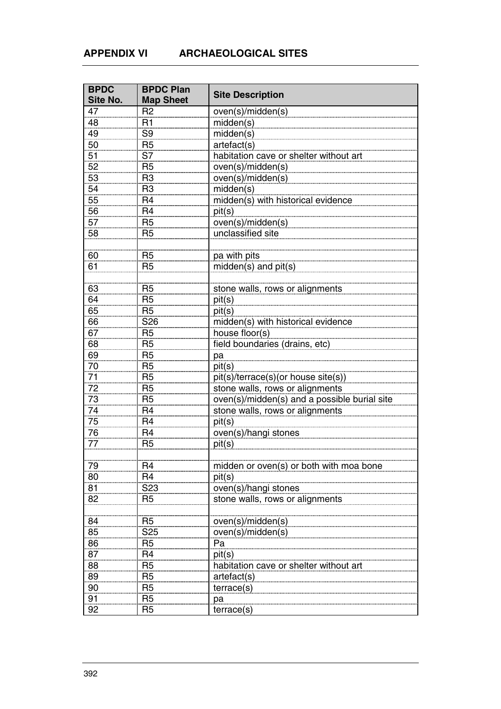| <b>BPDC</b><br>Site No. | <b>BPDC Plan</b><br><b>Map Sheet</b> | <b>Site Description</b>                      |
|-------------------------|--------------------------------------|----------------------------------------------|
| 47                      | R <sub>2</sub>                       | oven(s)/midden(s)                            |
| 48                      | R1                                   | midden(s)                                    |
| 49                      | S <sub>9</sub>                       | miden(s)                                     |
| 50                      | R <sub>5</sub>                       | artefact(s)                                  |
| 51                      | S7                                   | habitation cave or shelter without art       |
| 52                      | R <sub>5</sub>                       | oven(s)/midden(s)                            |
| 53                      | R <sub>3</sub>                       | oven(s)/midden(s)                            |
| 54                      | R <sub>3</sub>                       | midden(s)                                    |
| 55                      | R <sub>4</sub>                       | midden(s) with historical evidence           |
| 56                      | R <sub>4</sub>                       | pit(s)                                       |
| 57                      | R <sub>5</sub>                       | oven(s)/midden(s)                            |
| 58                      | R <sub>5</sub>                       | unclassified site                            |
|                         |                                      |                                              |
| 60                      | R <sub>5</sub>                       | pa with pits                                 |
| 61                      | R <sub>5</sub>                       | midden(s) and pit(s)                         |
|                         |                                      |                                              |
| 63                      | R <sub>5</sub>                       | stone walls, rows or alignments              |
| 64                      | R <sub>5</sub>                       | pit(s)                                       |
| 65                      | R <sub>5</sub>                       | pit(s)                                       |
| 66                      | S <sub>26</sub>                      | midden(s) with historical evidence           |
| 67                      | R <sub>5</sub>                       | house floor(s)                               |
| 68                      | R <sub>5</sub>                       | field boundaries (drains, etc)               |
| 69                      | R <sub>5</sub>                       | pa                                           |
| 70                      | R <sub>5</sub>                       | pit(s)                                       |
| 71                      | R <sub>5</sub>                       | pit(s)/terrace(s)(or house site(s))          |
| $\overline{72}$         | R <sub>5</sub>                       | stone walls, rows or alignments              |
| 73                      | R <sub>5</sub>                       | oven(s)/midden(s) and a possible burial site |
| 74                      | R <sub>4</sub>                       | stone walls, rows or alignments              |
| 75                      | R <sub>4</sub>                       | pit(s)                                       |
| 76                      | R <sub>4</sub>                       | oven(s)/hangi stones                         |
| 77                      | R <sub>5</sub>                       | pit(s)                                       |
|                         |                                      |                                              |
| 79                      | R <sub>4</sub>                       | midden or oven(s) or both with moa bone      |
| 80                      | R4                                   | pit(s)                                       |
| 81                      | S <sub>23</sub>                      | oven(s)/hangi stones                         |
| 82                      | R <sub>5</sub>                       | stone walls, rows or alignments              |
|                         |                                      |                                              |
| 84                      | R <sub>5</sub>                       | oven(s)/midden(s)                            |
| 85                      | S <sub>25</sub>                      | oven(s)/midden(s)                            |
| 86                      | R <sub>5</sub>                       | Pa                                           |
| 87                      | R <sub>4</sub>                       | pit(s)                                       |
| 88                      | R <sub>5</sub>                       | habitation cave or shelter without art       |
| 89                      | R <sub>5</sub>                       | artefact(s)                                  |
| 90                      | R <sub>5</sub>                       | terrace(s)                                   |
| 91                      | R <sub>5</sub>                       | рa                                           |
| 92                      | R <sub>5</sub>                       | terrace(s)                                   |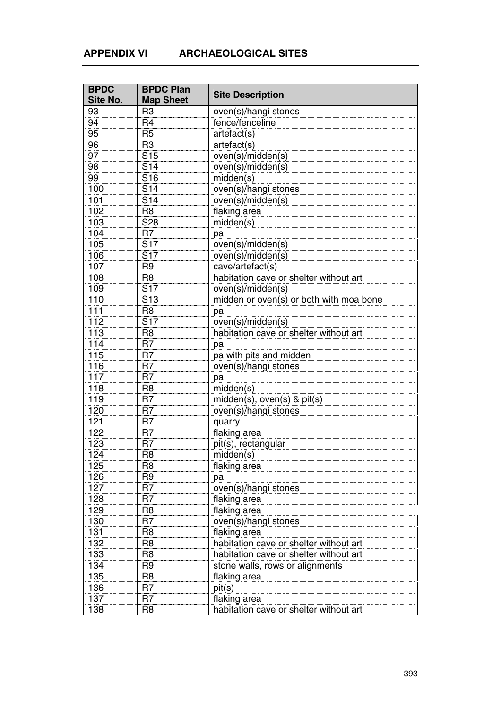| <b>BPDC</b>     | <b>BPDC Plan</b> |                                         |
|-----------------|------------------|-----------------------------------------|
| <b>Site No.</b> | <b>Map Sheet</b> | <b>Site Description</b>                 |
| 93              | R <sub>3</sub>   | oven(s)/hangi stones                    |
| 94              | R <sub>4</sub>   | fence/fenceline                         |
| 95              | R <sub>5</sub>   | artefact(s)                             |
| 96              | R <sub>3</sub>   | artefact(s)                             |
| 97              | S <sub>15</sub>  | oven(s)/midden(s)                       |
| 98              | S <sub>14</sub>  | oven(s)/midden(s)                       |
| 99              | S <sub>16</sub>  | midden(s)                               |
| 100             | S <sub>14</sub>  | oven(s)/hangi stones                    |
| 101             | S <sub>14</sub>  | oven(s)/midden(s)                       |
| 102             | R <sub>8</sub>   | flaking area                            |
| 103             | S28              | midden(s)                               |
| 104             | R <sub>7</sub>   | pa                                      |
| 105             | <b>S17</b>       | oven(s)/midden(s)                       |
| 106             | S <sub>17</sub>  | oven(s)/midden(s)                       |
| 107             | R <sub>9</sub>   | cave/artefact(s)                        |
| 108             | R <sub>8</sub>   | habitation cave or shelter without art  |
| 109             | <b>S17</b>       | oven(s)/midden(s)                       |
| 110             | S <sub>13</sub>  | midden or oven(s) or both with moa bone |
| 111             | R <sub>8</sub>   | pa                                      |
| 112             | <b>S17</b>       | oven(s)/midden(s)                       |
| 113             | R <sub>8</sub>   | habitation cave or shelter without art  |
| 114             | R <sub>7</sub>   | pa                                      |
| 115             | R <sub>7</sub>   | pa with pits and midden                 |
| <u>116</u>      | R <sub>7</sub>   | oven(s)/hangi stones                    |
| 117             | R7               | pa                                      |
| 118             | R <sub>8</sub>   | midden(s)                               |
| 119             | R <sub>7</sub>   | midden(s), oven(s) & pit(s)             |
| 120             | R <sub>7</sub>   | oven(s)/hangi stones                    |
| 121             | R7               | quarry                                  |
| 122             | R <sub>7</sub>   | flaking area                            |
| 123             | R <sub>7</sub>   | pit(s), rectangular                     |
| 124             | R <sub>8</sub>   | midden(s)                               |
| 125             | R <sub>8</sub>   | flaking area                            |
| 126             | R <sub>9</sub>   | pa                                      |
| 127             | R7               | oven(s)/hangi stones                    |
| 128             | R <sub>7</sub>   | flaking area                            |
| 129             | R <sub>8</sub>   | flaking area                            |
| 130             | R <sub>7</sub>   | oven(s)/hangi stones                    |
| 131             | R <sub>8</sub>   | flaking area                            |
| 132             | R <sub>8</sub>   | habitation cave or shelter without art  |
| 133             | R <sub>8</sub>   | habitation cave or shelter without art  |
| 134             | R <sub>9</sub>   | stone walls, rows or alignments         |
| 135             | R <sub>8</sub>   | flaking area                            |
| 136             | R <sub>7</sub>   | pit(s)                                  |
| 137             | R <sub>7</sub>   | flaking area                            |
| 138             | R <sub>8</sub>   | habitation cave or shelter without art  |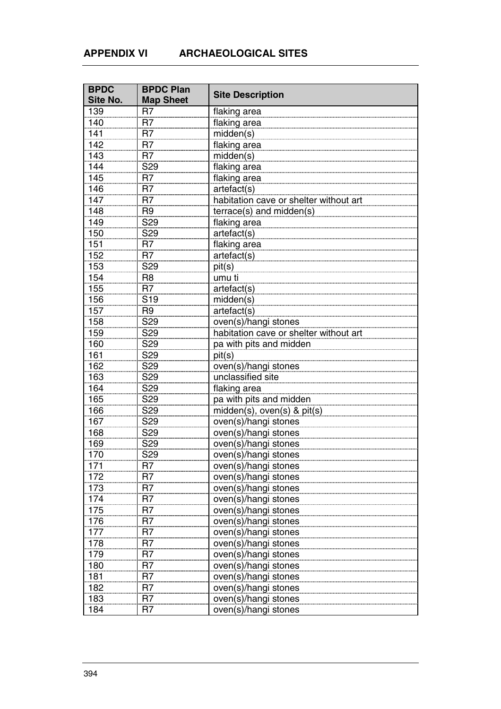| <b>BPDC</b><br>Site No. | <b>BPDC Plan</b><br><b>Map Sheet</b> | <b>Site Description</b>                |
|-------------------------|--------------------------------------|----------------------------------------|
| 139                     | R <sub>7</sub>                       | flaking area                           |
| 140                     | R <sub>7</sub>                       | flaking area                           |
| 141                     | R <sub>7</sub>                       | midden(s)                              |
| 142                     | R <sub>7</sub>                       | flaking area                           |
| 143                     | R <sub>7</sub>                       | miden(s)                               |
| 144                     | S29                                  | flaking area                           |
| 145                     | R <sub>7</sub>                       | flaking area                           |
| 146                     | R <sub>7</sub>                       | artefact(s)                            |
| 147                     | R <sub>7</sub>                       | habitation cave or shelter without art |
| 148                     | R <sub>9</sub>                       | terrace(s) and midden(s)               |
| 149                     | S <sub>29</sub>                      | flaking area                           |
| 150                     | S <sub>29</sub>                      | artefact(s)                            |
| 151                     | R7                                   | flaking area                           |
| 152                     | R <sub>7</sub>                       | artefact(s)                            |
| 153                     | S <sub>29</sub>                      | pit(s)                                 |
| 154                     | R <sub>8</sub>                       | umu ti                                 |
| 155                     | R <sub>7</sub>                       | artefact(s)                            |
| 156                     | S <sub>19</sub>                      | midden(s)                              |
| 157                     | R <sub>9</sub>                       | artefact(s)                            |
| 158                     | S <sub>29</sub>                      | oven(s)/hangi stones                   |
| 159                     | S <sub>29</sub>                      | habitation cave or shelter without art |
| 160                     | S29                                  | pa with pits and midden                |
| 161                     | S <sub>29</sub>                      | pit(s)                                 |
| 162                     | S <sub>29</sub>                      | oven(s)/hangi stones                   |
| 163                     | S <sub>29</sub>                      | unclassified site                      |
| 164                     | S29                                  | flaking area                           |
| 165                     | S <sub>29</sub>                      | pa with pits and midden                |
| 166                     | S <sub>29</sub>                      | midden(s), oven(s) & pit(s)            |
| 167                     | S <sub>29</sub>                      | oven(s)/hangi stones                   |
| 168                     | S <sub>29</sub>                      | oven(s)/hangi stones                   |
| 169                     | S <sub>29</sub>                      | oven(s)/hangi stones                   |
| 170                     | S <sub>29</sub>                      | oven(s)/hangi stones                   |
| 171                     | R7                                   | oven(s)/hangi stones                   |
| 172                     | R7                                   | oven(s)/hangi stones                   |
| 173                     | R <sub>7</sub>                       | oven(s)/hangi stones                   |
| 174                     | R <sub>7</sub>                       | oven(s)/hangi stones                   |
| 175                     | R <sub>7</sub>                       | oven(s)/hangi stones                   |
|                         | R <sub>7</sub>                       | oven(s)/hangi stones                   |
| 176<br>177              | R7                                   | oven(s)/hangi stones                   |
| 178                     | R <sub>7</sub>                       | oven(s)/hangi stones                   |
| 179                     | R <sub>7</sub>                       | oven(s)/hangi stones                   |
| 180                     | R <sub>7</sub>                       | oven(s)/hangi stones                   |
| 181                     | R <sub>7</sub>                       | oven(s)/hangi stones                   |
| 182                     | R <sub>7</sub>                       | oven(s)/hangi stones                   |
| 183                     | R <sub>7</sub>                       | oven(s)/hangi stones                   |
| 184                     | R <sub>7</sub>                       | oven(s)/hangi stones                   |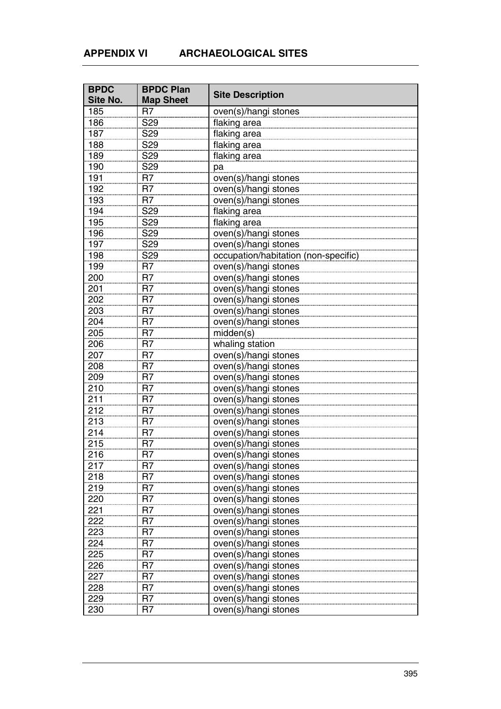| <b>BPDC</b>      | <b>BPDC Plan</b> |                                      |
|------------------|------------------|--------------------------------------|
| Site No.         | <b>Map Sheet</b> | <b>Site Description</b>              |
| 185              | R <sub>7</sub>   | oven(s)/hangi stones                 |
| 186              | <b>S29</b>       | flaking area                         |
| 187              | S <sub>29</sub>  | flaking area                         |
| 188              | S <sub>29</sub>  | flaking area                         |
| 189              | S <sub>29</sub>  | flaking area                         |
| 190              | S <sub>29</sub>  | pa                                   |
| 191              | R <sub>7</sub>   | oven(s)/hangi stones                 |
| 192              | R <sub>7</sub>   | oven(s)/hangi stones                 |
| 193              | R <sub>7</sub>   | oven(s)/hangi stones                 |
| 194              | S <sub>29</sub>  | flaking area                         |
| 195              | S <sub>29</sub>  | flaking area                         |
| 196              | S29              | oven(s)/hangi stones                 |
| 197              | S <sub>29</sub>  | oven(s)/hangi stones                 |
| 198              | S <sub>29</sub>  | occupation/habitation (non-specific) |
| 199              | R7               | oven(s)/hangi stones                 |
| 200              | R <sub>7</sub>   | oven(s)/hangi stones                 |
| 201              | R <sub>7</sub>   | oven(s)/hangi stones                 |
| 202              | R <sub>7</sub>   | oven(s)/hangi stones                 |
| 203              | R <sub>7</sub>   | oven(s)/hangi stones                 |
| 204              | R <sub>7</sub>   | oven(s)/hangi stones                 |
| 205              | R <sub>7</sub>   | midden(s)                            |
| 206              | R <sub>7</sub>   | whaling station                      |
| 207              | R <sub>7</sub>   | oven(s)/hangi stones                 |
| 208              | R <sub>7</sub>   | oven(s)/hangi stones                 |
| 209              | R <sub>7</sub>   | oven(s)/hangi stones                 |
| 210              | R <sub>7</sub>   | oven(s)/hangi stones                 |
| 211              | R <sub>7</sub>   | oven(s)/hangi stones                 |
| 212              | R <sub>7</sub>   | oven(s)/hangi stones                 |
| $\overline{213}$ | R <sub>7</sub>   | oven(s)/hangi stones                 |
| 214              | R <sub>7</sub>   | oven(s)/hangi stones                 |
| 215              | R <sub>7</sub>   | oven(s)/hangi stones                 |
| 216              | R <sub>7</sub>   | oven(s)/hangi stones                 |
| 217              | R7               | oven(s)/hangi stones                 |
| 218              | R <sub>7</sub>   | oven(s)/hangi stones                 |
| 219              | R <sub>7</sub>   | oven(s)/hangi stones                 |
| 220              | R <sub>7</sub>   | oven(s)/hangi stones                 |
| 221              | R <sub>7</sub>   | oven(s)/hangi stones                 |
| 222              | R <sub>7</sub>   | oven(s)/hangi stones                 |
| $\frac{1}{223}$  | $\overline{R7}$  | oven(s)/hangi stones                 |
| 224              | R <sub>7</sub>   | oven(s)/hangi stones                 |
| 225              | R <sub>7</sub>   | oven(s)/hangi stones                 |
| 226              | R <sub>7</sub>   | oven(s)/hangi stones                 |
| 227              | R <sub>7</sub>   | oven(s)/hangi stones                 |
| 228              | R <sub>7</sub>   | oven(s)/hangi stones                 |
| 229              | R <sub>7</sub>   | oven(s)/hangi stones                 |
| 230              | R <sub>7</sub>   | oven(s)/hangi stones                 |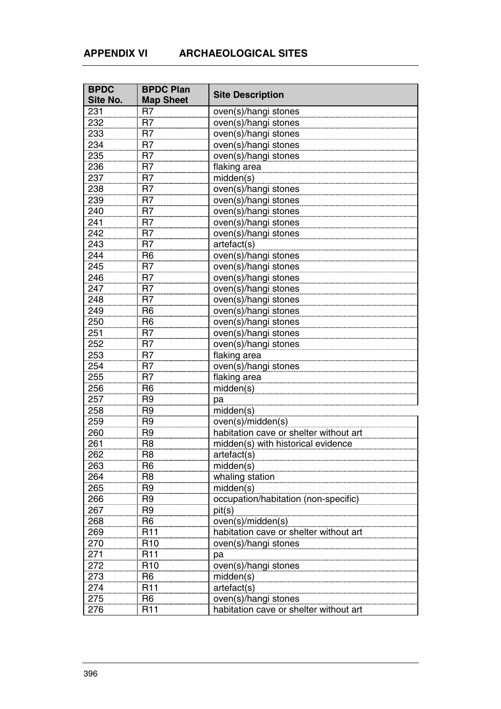| <b>BPDC</b>       | <b>BPDC Plan</b> | <b>Site Description</b>                |
|-------------------|------------------|----------------------------------------|
| Site No.          | <b>Map Sheet</b> |                                        |
| 231               | R7               | oven(s)/hangi stones                   |
| 232               | R <sub>7</sub>   | oven(s)/hangi stones                   |
| 233               | R <sub>7</sub>   | oven(s)/hangi stones                   |
| 234               | R <sub>7</sub>   | oven(s)/hangi stones                   |
| 235               | R <sub>7</sub>   | oven(s)/hangi stones                   |
| 236               | R <sub>7</sub>   | flaking area                           |
| 237               | R <sub>7</sub>   | midden(s)                              |
| 238               | R <sub>7</sub>   | oven(s)/hangi stones                   |
| 239               | R <sub>7</sub>   | oven(s)/hangi stones                   |
| 240               | R <sub>7</sub>   | oven(s)/hangi stones                   |
| 241               | R <sub>7</sub>   | oven(s)/hangi stones                   |
| 242               | R <sub>7</sub>   | oven(s)/hangi stones                   |
| 243               | R <sub>7</sub>   | artefact(s)                            |
| 244               | R <sub>6</sub>   | oven(s)/hangi stones                   |
| 245               | R <sub>7</sub>   | oven(s)/hangi stones                   |
| 246               | R <sub>7</sub>   | oven(s)/hangi stones                   |
| 247               | R <sub>7</sub>   | oven(s)/hangi stones                   |
| 248               | R <sub>7</sub>   | oven(s)/hangi stones                   |
| 249               | R <sub>6</sub>   | oven(s)/hangi stones                   |
| 250               | R <sub>6</sub>   | oven(s)/hangi stones                   |
| 251               | R <sub>7</sub>   | oven(s)/hangi stones                   |
| 252               | R <sub>7</sub>   | oven(s)/hangi stones                   |
| 253               | R <sub>7</sub>   | flaking area                           |
| 254               | R <sub>7</sub>   | oven(s)/hangi stones                   |
| 255               | R <sub>7</sub>   | flaking area                           |
| 256               | R <sub>6</sub>   | midden(s)                              |
| 257               | R <sub>9</sub>   | pa                                     |
| 258               | R <sub>9</sub>   | midden(s)                              |
| 259               | R <sub>9</sub>   | oven(s)/midden(s)                      |
| 260               | R <sub>9</sub>   | habitation cave or shelter without art |
| 261               | R <sub>8</sub>   | midden(s) with historical evidence     |
| 262               | R <sub>8</sub>   | artefact(s)                            |
| 263               | R <sub>6</sub>   | midden(s)                              |
| 264               | R <sub>8</sub>   | whaling station                        |
| 265               | R <sub>9</sub>   | midden(s)                              |
| 266               | R <sub>9</sub>   | occupation/habitation (non-specific)   |
| 267               | R <sub>9</sub>   | pit(s)                                 |
| 268               | R <sub>6</sub>   | oven(s)/midden(s)                      |
| 269               | R <sub>11</sub>  | habitation cave or shelter without art |
| 270               | R <sub>10</sub>  | oven(s)/hangi stones                   |
| $\frac{271}{271}$ | R <sub>11</sub>  | рa                                     |
| 272               | R <sub>10</sub>  | oven(s)/hangi stones                   |
| 273               | R <sub>6</sub>   | midden(s)                              |
| 274               | R <sub>11</sub>  | artefact(s)                            |
| 275               | R <sub>6</sub>   | oven(s)/hangi stones                   |
| 276               | R <sub>11</sub>  | habitation cave or shelter without art |